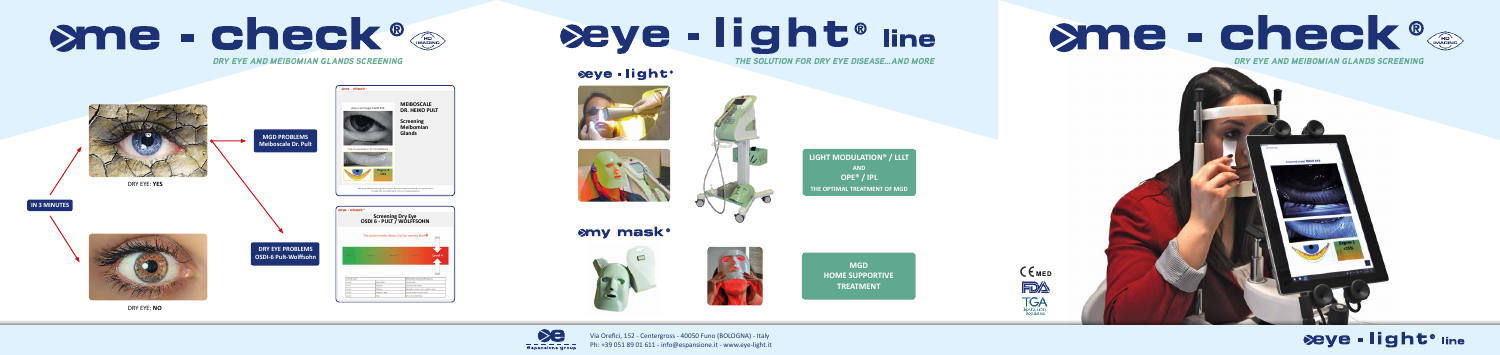







*THE SOLUTION FOR DRY EYE DISEASE…AND MORE*

## seye-light®







**LIGHT MODULATION® / LLLT AND OPE® / IPL THE OPTIMAL TREATMENT OF MGD** 

## **smy mask®**





Via Orefici, 152 - Centergross - 40050 Funo (BOLOGNA) - Italy Ph: +39 051 89 01 611 - info@espansione.it - www.eye-light.it

# Seye - light® line

**MGD HOME SUPPORTIVE TREATMENT**



# beye - light® me

# ame - check®

### *DRY EYE AND MEIBOMIAN GLANDS SCREENING*